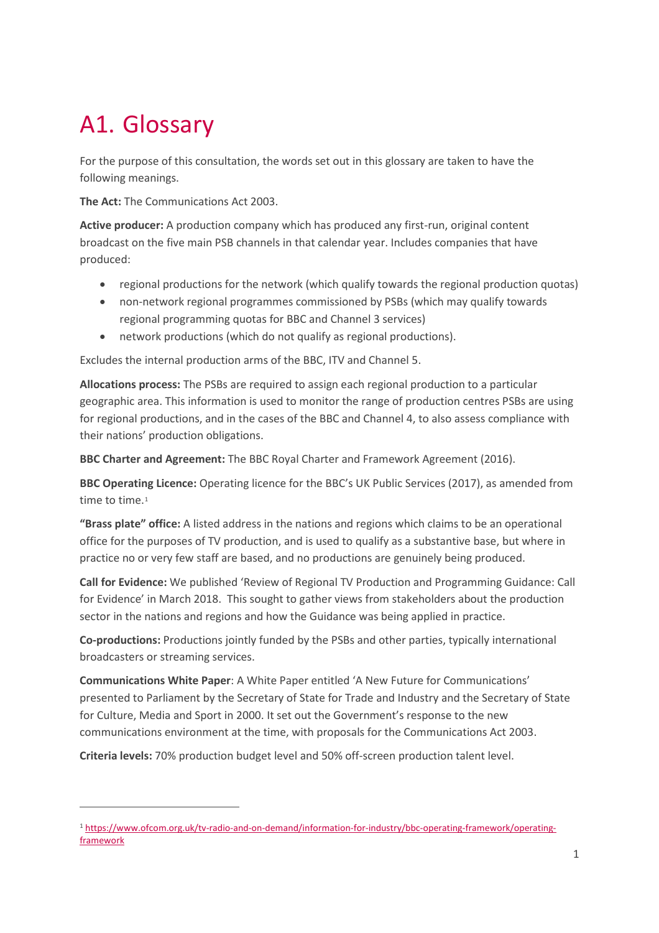## A1. Glossary

 $\overline{a}$ 

For the purpose of this consultation, the words set out in this glossary are taken to have the following meanings.

**The Act:** The Communications Act 2003.

**Active producer:** A production company which has produced any first-run, original content broadcast on the five main PSB channels in that calendar year. Includes companies that have produced:

- regional productions for the network (which qualify towards the regional production quotas)
- non-network regional programmes commissioned by PSBs (which may qualify towards regional programming quotas for BBC and Channel 3 services)
- network productions (which do not qualify as regional productions).

Excludes the internal production arms of the BBC, ITV and Channel 5.

**Allocations process:** The PSBs are required to assign each regional production to a particular geographic area. This information is used to monitor the range of production centres PSBs are using for regional productions, and in the cases of the BBC and Channel 4, to also assess compliance with their nations' production obligations.

**BBC Charter and Agreement:** The BBC Royal Charter and Framework Agreement (2016).

**BBC Operating Licence:** Operating licence for the BBC's UK Public Services (2017), as amended from time to time.<sup>[1](#page-0-0)</sup>

**"Brass plate" office:** A listed address in the nations and regions which claims to be an operational office for the purposes of TV production, and is used to qualify as a substantive base, but where in practice no or very few staff are based, and no productions are genuinely being produced.

**Call for Evidence:** We published 'Review of Regional TV Production and Programming Guidance: Call for Evidence' in March 2018. This sought to gather views from stakeholders about the production sector in the nations and regions and how the Guidance was being applied in practice.

**Co-productions:** Productions jointly funded by the PSBs and other parties, typically international broadcasters or streaming services.

**Communications White Paper**: A White Paper entitled 'A New Future for Communications' presented to Parliament by the Secretary of State for Trade and Industry and the Secretary of State for Culture, Media and Sport in 2000. It set out the Government's response to the new communications environment at the time, with proposals for the Communications Act 2003.

**Criteria levels:** 70% production budget level and 50% off-screen production talent level.

<span id="page-0-0"></span><sup>1</sup> [https://www.ofcom.org.uk/tv-radio-and-on-demand/information-for-industry/bbc-operating-framework/operating](https://www.ofcom.org.uk/tv-radio-and-on-demand/information-for-industry/bbc-operating-framework/operating-framework)[framework](https://www.ofcom.org.uk/tv-radio-and-on-demand/information-for-industry/bbc-operating-framework/operating-framework)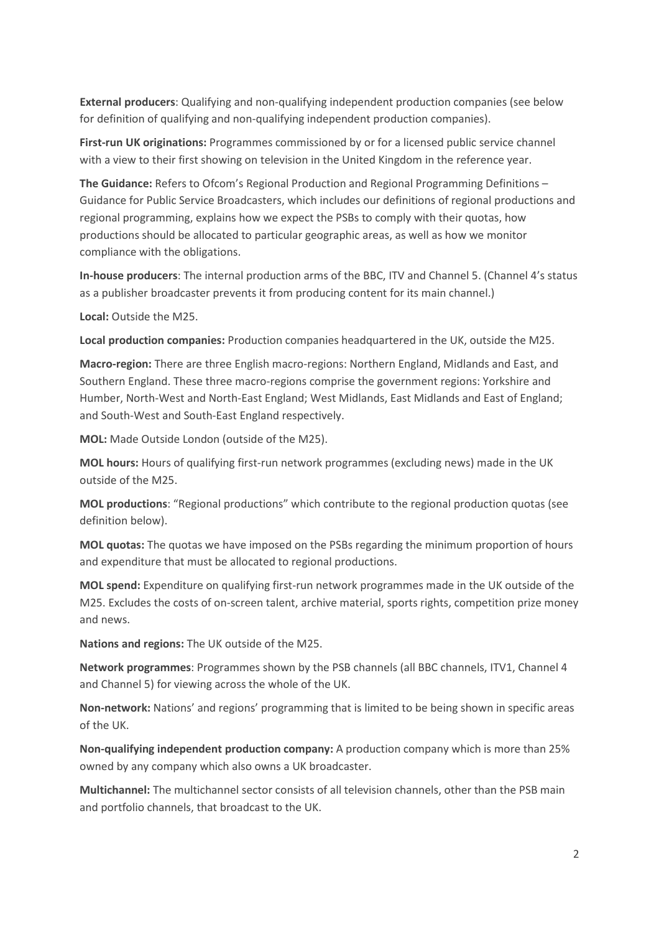**External producers**: Qualifying and non-qualifying independent production companies (see below for definition of qualifying and non-qualifying independent production companies).

**First-run UK originations:** Programmes commissioned by or for a licensed public service channel with a view to their first showing on television in the United Kingdom in the reference year.

**The Guidance:** Refers to Ofcom's Regional Production and Regional Programming Definitions – Guidance for Public Service Broadcasters, which includes our definitions of regional productions and regional programming, explains how we expect the PSBs to comply with their quotas, how productions should be allocated to particular geographic areas, as well as how we monitor compliance with the obligations.

**In-house producers**: The internal production arms of the BBC, ITV and Channel 5. (Channel 4's status as a publisher broadcaster prevents it from producing content for its main channel.)

**Local:** Outside the M25.

**Local production companies:** Production companies headquartered in the UK, outside the M25.

**Macro-region:** There are three English macro-regions: Northern England, Midlands and East, and Southern England. These three macro-regions comprise the government regions: Yorkshire and Humber, North-West and North-East England; West Midlands, East Midlands and East of England; and South-West and South-East England respectively.

**MOL:** Made Outside London (outside of the M25).

**MOL hours:** Hours of qualifying first-run network programmes (excluding news) made in the UK outside of the M25.

**MOL productions**: "Regional productions" which contribute to the regional production quotas (see definition below).

**MOL quotas:** The quotas we have imposed on the PSBs regarding the minimum proportion of hours and expenditure that must be allocated to regional productions.

**MOL spend:** Expenditure on qualifying first-run network programmes made in the UK outside of the M25. Excludes the costs of on-screen talent, archive material, sports rights, competition prize money and news.

**Nations and regions:** The UK outside of the M25.

**Network programmes**: Programmes shown by the PSB channels (all BBC channels, ITV1, Channel 4 and Channel 5) for viewing across the whole of the UK.

**Non-network:** Nations' and regions' programming that is limited to be being shown in specific areas of the UK.

**Non-qualifying independent production company:** A production company which is more than 25% owned by any company which also owns a UK broadcaster.

**Multichannel:** The multichannel sector consists of all television channels, other than the PSB main and portfolio channels, that broadcast to the UK.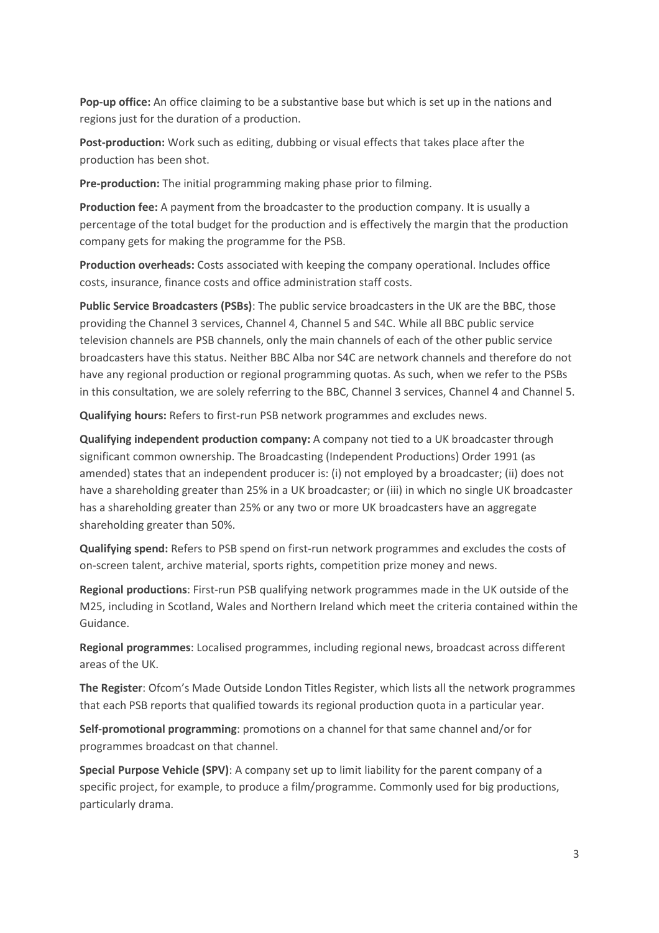**Pop-up office:** An office claiming to be a substantive base but which is set up in the nations and regions just for the duration of a production.

**Post-production:** Work such as editing, dubbing or visual effects that takes place after the production has been shot.

**Pre-production:** The initial programming making phase prior to filming.

**Production fee:** A payment from the broadcaster to the production company. It is usually a percentage of the total budget for the production and is effectively the margin that the production company gets for making the programme for the PSB.

**Production overheads:** Costs associated with keeping the company operational. Includes office costs, insurance, finance costs and office administration staff costs.

**Public Service Broadcasters (PSBs)**: The public service broadcasters in the UK are the BBC, those providing the Channel 3 services, Channel 4, Channel 5 and S4C. While all BBC public service television channels are PSB channels, only the main channels of each of the other public service broadcasters have this status. Neither BBC Alba nor S4C are network channels and therefore do not have any regional production or regional programming quotas. As such, when we refer to the PSBs in this consultation, we are solely referring to the BBC, Channel 3 services, Channel 4 and Channel 5.

**Qualifying hours:** Refers to first-run PSB network programmes and excludes news.

**Qualifying independent production company:** A company not tied to a UK broadcaster through significant common ownership. The Broadcasting (Independent Productions) Order 1991 (as amended) states that an independent producer is: (i) not employed by a broadcaster; (ii) does not have a shareholding greater than 25% in a UK broadcaster; or (iii) in which no single UK broadcaster has a shareholding greater than 25% or any two or more UK broadcasters have an aggregate shareholding greater than 50%.

**Qualifying spend:** Refers to PSB spend on first-run network programmes and excludes the costs of on-screen talent, archive material, sports rights, competition prize money and news.

**Regional productions**: First-run PSB qualifying network programmes made in the UK outside of the M25, including in Scotland, Wales and Northern Ireland which meet the criteria contained within the Guidance.

**Regional programmes**: Localised programmes, including regional news, broadcast across different areas of the UK.

**The Register**: Ofcom's Made Outside London Titles Register, which lists all the network programmes that each PSB reports that qualified towards its regional production quota in a particular year.

**Self-promotional programming**: promotions on a channel for that same channel and/or for programmes broadcast on that channel.

**Special Purpose Vehicle (SPV)**: A company set up to limit liability for the parent company of a specific project, for example, to produce a film/programme. Commonly used for big productions, particularly drama.